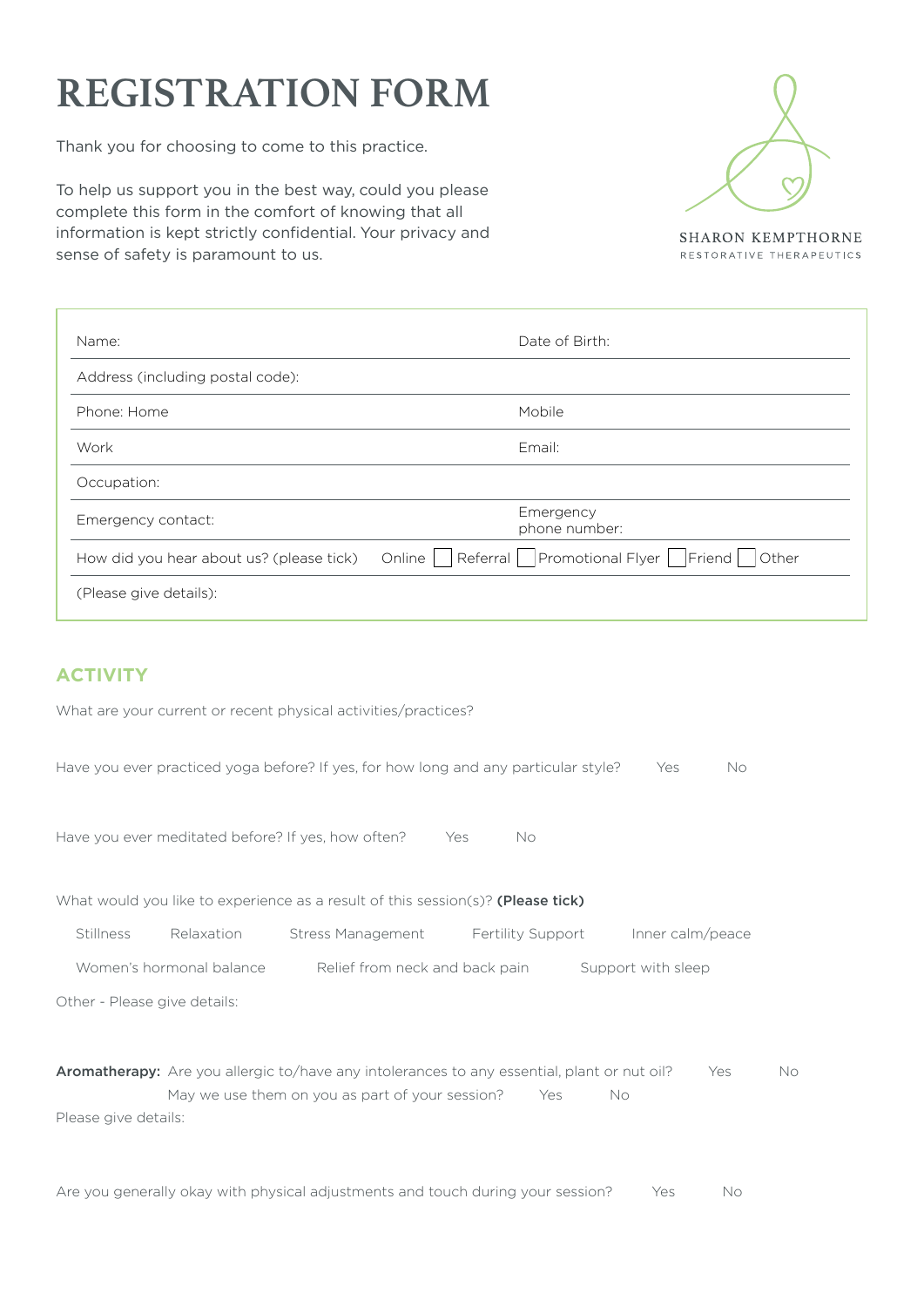## **REGISTRATION FORM**

Thank you for choosing to come to this practice.

To help us support you in the best way, could you please complete this form in the comfort of knowing that all information is kept strictly confidential. Your privacy and sense of safety is paramount to us.



**SHARON KEMPTHORNE** RESTORATIVE THERAPEUTICS

| Name:                                    | Date of Birth:                                          |
|------------------------------------------|---------------------------------------------------------|
| Address (including postal code):         |                                                         |
| Phone: Home                              | Mobile                                                  |
| Work                                     | Email:                                                  |
| Occupation:                              |                                                         |
| Emergency contact:                       | Emergency<br>phone number:                              |
| How did you hear about us? (please tick) | Referral   Promotional Flyer   Friend   Other<br>Online |
| (Please give details):                   |                                                         |
|                                          |                                                         |

## **ACTIVITY**

What are your current or recent physical activities/practices?

Have you ever practiced yoga before? If yes, for how long and any particular style? Yes No

Have you ever meditated before? If yes, how often? Yes No

What would you like to experience as a result of this session(s)? (Please tick)

Stillness Relaxation Stress Management Fertility Support Inner calm/peace

Women's hormonal balance Relief from neck and back pain Support with sleep

Other - Please give details:

Aromatherapy: Are you allergic to/have any intolerances to any essential, plant or nut oil? Yes No May we use them on you as part of your session? Yes No Please give details:

Are you generally okay with physical adjustments and touch during your session? Yes No